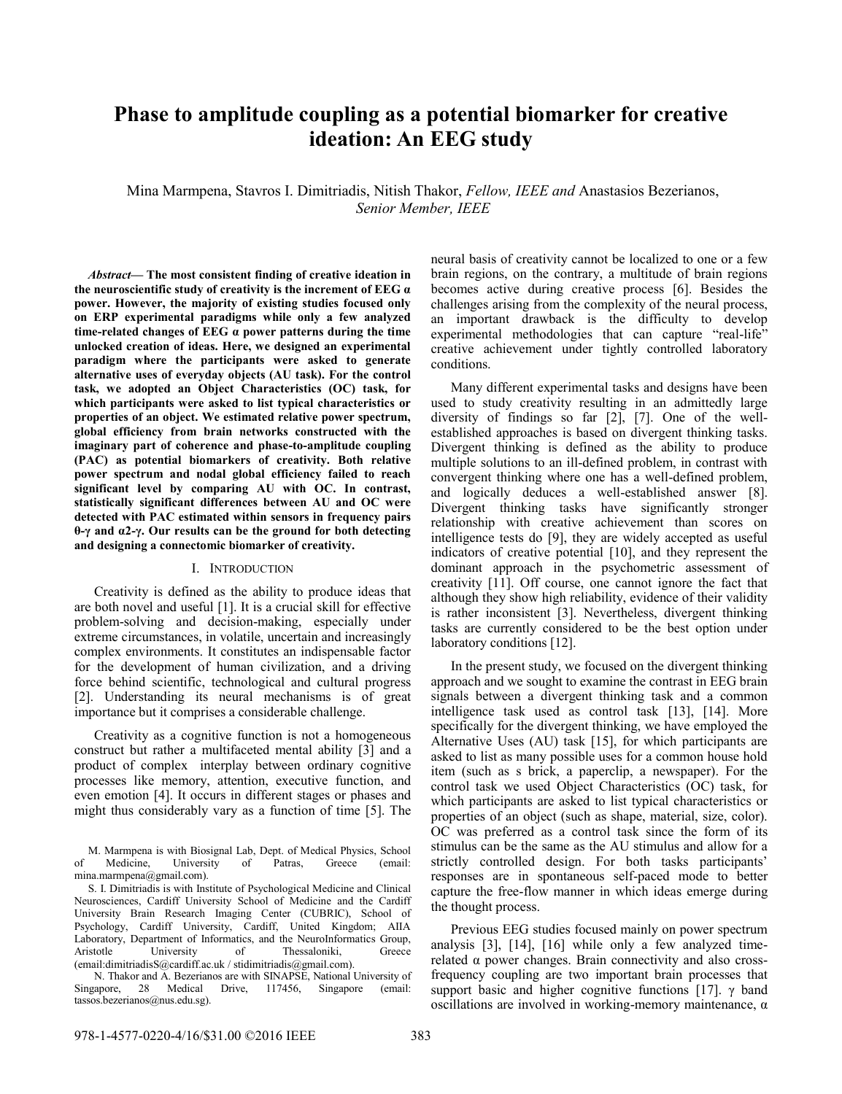# **Phase to amplitude coupling as a potential biomarker for creative ideation: An EEG study**

Mina Marmpena, Stavros I. Dimitriadis, Nitish Thakor, *Fellow, IEEE and* Anastasios Bezerianos, *Senior Member, IEEE*

*Abstract***— The most consistent finding of creative ideation in the neuroscientific study of creativity is the increment of EEG α power. However, the majority of existing studies focused only on ERP experimental paradigms while only a few analyzed time-related changes of EEG α power patterns during the time unlocked creation of ideas. Here, we designed an experimental paradigm where the participants were asked to generate alternative uses of everyday objects (AU task). For the control task, we adopted an Object Characteristics (OC) task, for which participants were asked to list typical characteristics or properties of an object. We estimated relative power spectrum, global efficiency from brain networks constructed with the imaginary part of coherence and phase-to-amplitude coupling (PAC) as potential biomarkers of creativity. Both relative power spectrum and nodal global efficiency failed to reach significant level by comparing AU with OC. In contrast, statistically significant differences between AU and OC were detected with PAC estimated within sensors in frequency pairs θ-γ and α2-γ. Our results can be the ground for both detecting and designing a connectomic biomarker of creativity.**

#### I. INTRODUCTION

Creativity is defined as the ability to produce ideas that are both novel and useful [1]. It is a crucial skill for effective problem-solving and decision-making, especially under extreme circumstances, in volatile, uncertain and increasingly complex environments. It constitutes an indispensable factor for the development of human civilization, and a driving force behind scientific, technological and cultural progress [2]. Understanding its neural mechanisms is of great importance but it comprises a considerable challenge.

Creativity as a cognitive function is not a homogeneous construct but rather a multifaceted mental ability [3] and a product of complex interplay between ordinary cognitive processes like memory, attention, executive function, and even emotion [4]. It occurs in different stages or phases and might thus considerably vary as a function of time [5]. The

N. Thakor and A. Bezerianos are with SINAPSE, National University of Singapore, 28 Medical Drive, 117456, Singapore (email: tassos.bezerianos@nus.edu.sg).

neural basis of creativity cannot be localized to one or a few brain regions, on the contrary, a multitude of brain regions becomes active during creative process [6]. Besides the challenges arising from the complexity of the neural process, an important drawback is the difficulty to develop experimental methodologies that can capture "real-life" creative achievement under tightly controlled laboratory conditions.

Many different experimental tasks and designs have been used to study creativity resulting in an admittedly large diversity of findings so far [2], [7]. One of the wellestablished approaches is based on divergent thinking tasks. Divergent thinking is defined as the ability to produce multiple solutions to an ill-defined problem, in contrast with convergent thinking where one has a well-defined problem, and logically deduces a well-established answer [8]. Divergent thinking tasks have significantly stronger relationship with creative achievement than scores on intelligence tests do [9], they are widely accepted as useful indicators of creative potential [10], and they represent the dominant approach in the psychometric assessment of creativity [11]. Off course, one cannot ignore the fact that although they show high reliability, evidence of their validity is rather inconsistent [3]. Nevertheless, divergent thinking tasks are currently considered to be the best option under laboratory conditions [12].

In the present study, we focused on the divergent thinking approach and we sought to examine the contrast in EEG brain signals between a divergent thinking task and a common intelligence task used as control task [13], [14]. More specifically for the divergent thinking, we have employed the Alternative Uses (AU) task [15], for which participants are asked to list as many possible uses for a common house hold item (such as s brick, a paperclip, a newspaper). For the control task we used Object Characteristics (OC) task, for which participants are asked to list typical characteristics or properties of an object (such as shape, material, size, color). OC was preferred as a control task since the form of its stimulus can be the same as the AU stimulus and allow for a strictly controlled design. For both tasks participants' responses are in spontaneous self-paced mode to better capture the free-flow manner in which ideas emerge during the thought process.

Previous EEG studies focused mainly on power spectrum analysis [3], [14], [16] while only a few analyzed timerelated α power changes. Brain connectivity and also crossfrequency coupling are two important brain processes that support basic and higher cognitive functions [17]. γ band oscillations are involved in working-memory maintenance, α

M. Marmpena is with Biosignal Lab, Dept. of Medical Physics, School<br>Medicine University of Patras Greece (email: of Medicine, University of Patras, Greece (email: mina.marmpena@gmail.com).

S. I. Dimitriadis is with Institute of Psychological Medicine and Clinical Neurosciences, Cardiff University School of Medicine and the Cardiff University Brain Research Imaging Center (CUBRIC), School of Psychology, Cardiff University, Cardiff, United Kingdom; AIIA Laboratory, Department of Informatics, and the NeuroInformatics Group, Aristotle University of Thessaloniki, Greece (email:dimitriadisS@cardiff.ac.uk / stidimitriadis@gmail.com).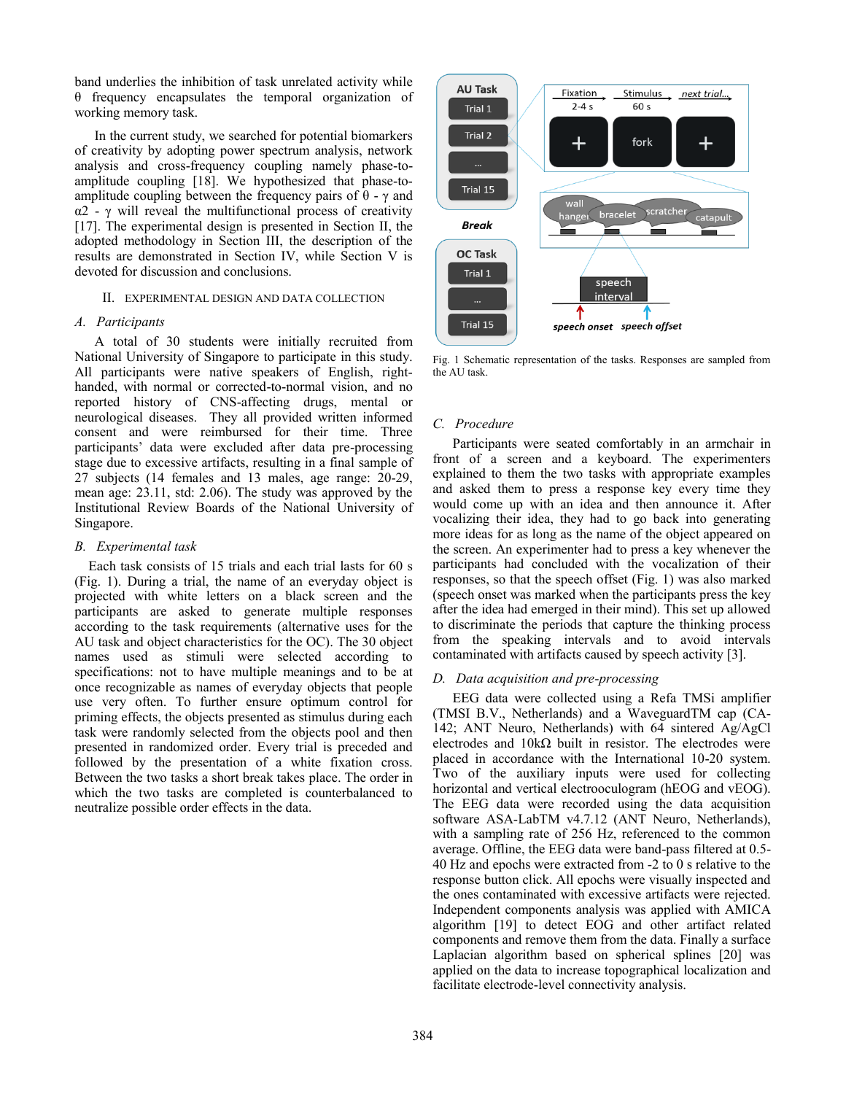band underlies the inhibition of task unrelated activity while θ frequency encapsulates the temporal organization of working memory task.

In the current study, we searched for potential biomarkers of creativity by adopting power spectrum analysis, network analysis and cross-frequency coupling namely phase-toamplitude coupling [18]. We hypothesized that phase-toamplitude coupling between the frequency pairs of  $\theta$  -  $\gamma$  and α2 - γ will reveal the multifunctional process of creativity [17]. The experimental design is presented in Section II, the adopted methodology in Section III, the description of the results are demonstrated in Section IV, while Section V is devoted for discussion and conclusions.

#### II. EXPERIMENTAL DESIGN AND DATA COLLECTION

## *A. Participants*

A total of 30 students were initially recruited from National University of Singapore to participate in this study. All participants were native speakers of English, righthanded, with normal or corrected-to-normal vision, and no reported history of CNS-affecting drugs, mental or neurological diseases. They all provided written informed consent and were reimbursed for their time. Three participants' data were excluded after data pre-processing stage due to excessive artifacts, resulting in a final sample of 27 subjects (14 females and 13 males, age range: 20-29, mean age: 23.11, std: 2.06). The study was approved by the Institutional Review Boards of the National University of Singapore.

# *B. Experimental task*

Each task consists of 15 trials and each trial lasts for 60 s (Fig. 1). During a trial, the name of an everyday object is projected with white letters on a black screen and the participants are asked to generate multiple responses according to the task requirements (alternative uses for the AU task and object characteristics for the OC). The 30 object names used as stimuli were selected according to specifications: not to have multiple meanings and to be at once recognizable as names of everyday objects that people use very often. To further ensure optimum control for priming effects, the objects presented as stimulus during each task were randomly selected from the objects pool and then presented in randomized order. Every trial is preceded and followed by the presentation of a white fixation cross. Between the two tasks a short break takes place. The order in which the two tasks are completed is counterbalanced to neutralize possible order effects in the data.



Fig. 1 Schematic representation of the tasks. Responses are sampled from the AU task.

# *C. Procedure*

Participants were seated comfortably in an armchair in front of a screen and a keyboard. The experimenters explained to them the two tasks with appropriate examples and asked them to press a response key every time they would come up with an idea and then announce it. After vocalizing their idea, they had to go back into generating more ideas for as long as the name of the object appeared on the screen. An experimenter had to press a key whenever the participants had concluded with the vocalization of their responses, so that the speech offset (Fig. 1) was also marked (speech onset was marked when the participants press the key after the idea had emerged in their mind). This set up allowed to discriminate the periods that capture the thinking process from the speaking intervals and to avoid intervals contaminated with artifacts caused by speech activity [3].

# *D. Data acquisition and pre-processing*

EEG data were collected using a Refa TMSi amplifier (TMSI B.V., Netherlands) and a WaveguardTM cap (CA-142; ANT Neuro, Netherlands) with 64 sintered Ag/AgCl electrodes and  $10k\Omega$  built in resistor. The electrodes were placed in accordance with the International 10-20 system. Two of the auxiliary inputs were used for collecting horizontal and vertical electrooculogram (hEOG and vEOG). The EEG data were recorded using the data acquisition software ASA-LabTM v4.7.12 (ANT Neuro, Netherlands), with a sampling rate of 256 Hz, referenced to the common average. Offline, the EEG data were band-pass filtered at 0.5- 40 Hz and epochs were extracted from -2 to 0 s relative to the response button click. All epochs were visually inspected and the ones contaminated with excessive artifacts were rejected. Independent components analysis was applied with AMICA algorithm [19] to detect EOG and other artifact related components and remove them from the data. Finally a surface Laplacian algorithm based on spherical splines [20] was applied on the data to increase topographical localization and facilitate electrode-level connectivity analysis.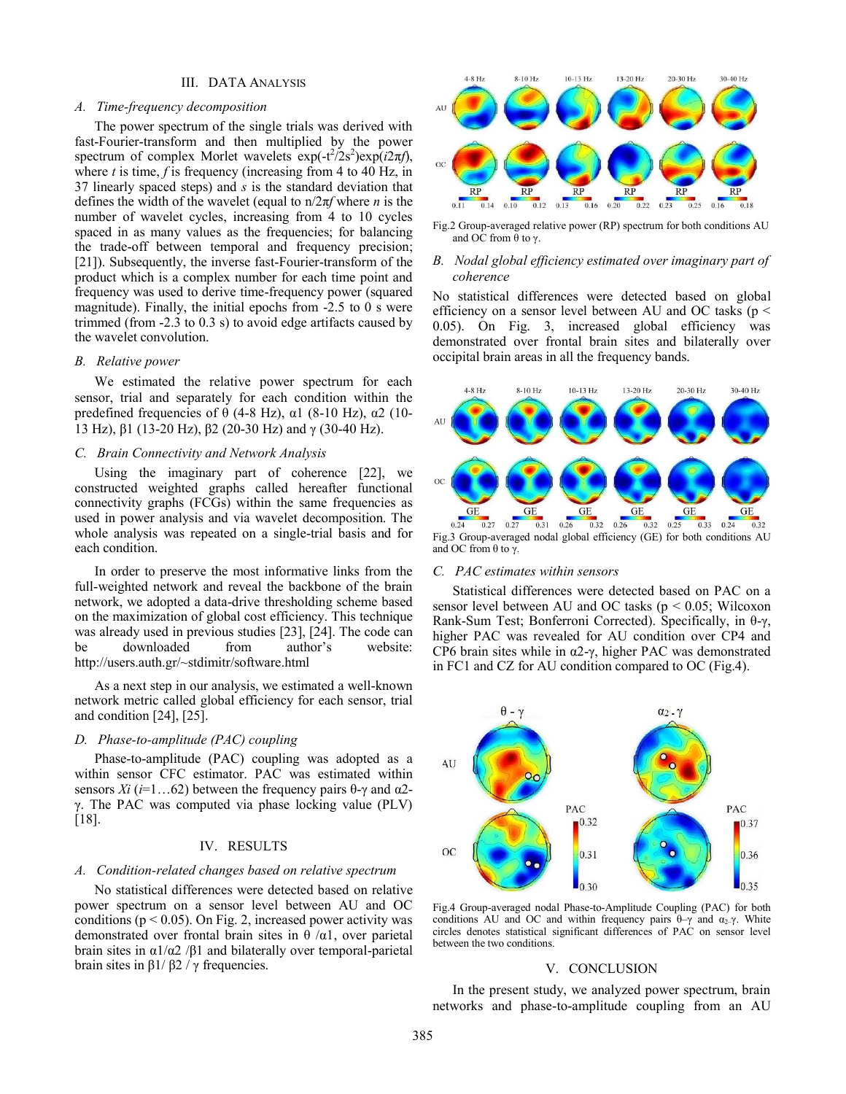#### III. DATA ANALYSIS

#### *A. Time-frequency decomposition*

The power spectrum of the single trials was derived with fast-Fourier-transform and then multiplied by the power spectrum of complex Morlet wavelets  $\exp(-t^2/2s^2)\exp(i2\pi f)$ , where *t* is time, *f* is frequency (increasing from 4 to 40 Hz, in 37 linearly spaced steps) and *s* is the standard deviation that defines the width of the wavelet (equal to n/2π*f* where *n* is the number of wavelet cycles, increasing from 4 to 10 cycles spaced in as many values as the frequencies; for balancing the trade-off between temporal and frequency precision; [21]). Subsequently, the inverse fast-Fourier-transform of the product which is a complex number for each time point and frequency was used to derive time-frequency power (squared magnitude). Finally, the initial epochs from -2.5 to 0 s were trimmed (from -2.3 to 0.3 s) to avoid edge artifacts caused by the wavelet convolution.

#### *B. Relative power*

We estimated the relative power spectrum for each sensor, trial and separately for each condition within the predefined frequencies of  $\theta$  (4-8 Hz),  $\alpha$ 1 (8-10 Hz),  $\alpha$ 2 (10-13 Hz), β1 (13-20 Hz), β2 (20-30 Hz) and γ (30-40 Hz).

#### *C. Brain Connectivity and Network Analysis*

Using the imaginary part of coherence [22], we constructed weighted graphs called hereafter functional connectivity graphs (FCGs) within the same frequencies as used in power analysis and via wavelet decomposition. The whole analysis was repeated on a single-trial basis and for each condition.

In order to preserve the most informative links from the full-weighted network and reveal the backbone of the brain network, we adopted a data-drive thresholding scheme based on the maximization of global cost efficiency. This technique was already used in previous studies [23], [24]. The code can be downloaded from author's website: http://users.auth.gr/~stdimitr/software.html

As a next step in our analysis, we estimated a well-known network metric called global efficiency for each sensor, trial and condition [24], [25].

#### *D. Phase-to-amplitude (PAC) coupling*

Phase-to-amplitude (PAC) coupling was adopted as a within sensor CFC estimator. PAC was estimated within sensors *Xi* ( $i=1...62$ ) between the frequency pairs θ-γ and α2γ. The PAC was computed via phase locking value (PLV) [18].

#### IV. RESULTS

#### *A. Condition-related changes based on relative spectrum*

No statistical differences were detected based on relative power spectrum on a sensor level between AU and OC conditions ( $p < 0.05$ ). On Fig. 2, increased power activity was demonstrated over frontal brain sites in  $\theta$  / $\alpha$ 1, over parietal brain sites in α1/α2 /β1 and bilaterally over temporal-parietal brain sites in β1/ β2 / γ frequencies.



Fig.2 Group-averaged relative power (RP) spectrum for both conditions AU and OC from  $θ$  to  $γ$ .

#### *B. Nodal global efficiency estimated over imaginary part of coherence*

No statistical differences were detected based on global efficiency on a sensor level between AU and OC tasks (p < 0.05). On Fig. 3, increased global efficiency was demonstrated over frontal brain sites and bilaterally over occipital brain areas in all the frequency bands.



Fig.3 Group-averaged nodal global efficiency (GE) for both conditions AU and OC from  $θ$  to  $γ$ .

#### *C. PAC estimates within sensors*

Statistical differences were detected based on PAC on a sensor level between AU and OC tasks ( $p < 0.05$ ; Wilcoxon Rank-Sum Test; Bonferroni Corrected). Specifically, in θ-γ, higher PAC was revealed for AU condition over CP4 and CP6 brain sites while in α2-γ, higher PAC was demonstrated in FC1 and CZ for AU condition compared to OC (Fig.4).



Fig.4 Group-averaged nodal Phase-to-Amplitude Coupling (PAC) for both conditions AU and OC and within frequency pairs  $\theta-\gamma$  and  $\alpha_2-\gamma$ . White circles denotes statistical significant differences of PAC on sensor level between the two conditions.

## V. CONCLUSION

In the present study, we analyzed power spectrum, brain networks and phase-to-amplitude coupling from an AU